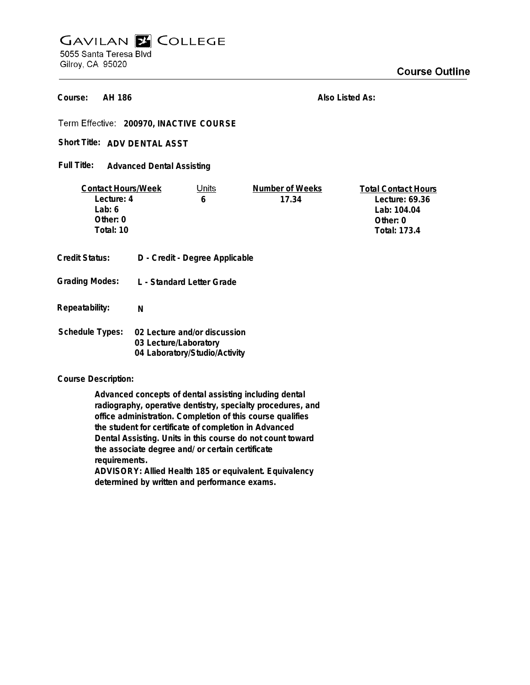## **GAVILAN E COLLEGE** 5055 Santa Teresa Blvd Gilroy, CA 95020

**AH 186 Course:**

**Also Listed As:**

**200970, INACTIVE COURSE**

Short Title: ADV DENTAL ASST

**Advanced Dental Assisting Full Title:**

| <b>Contact Hours/Week</b><br>Lecture: 4<br>Lab: $6$<br>Other: $0$<br>Total: 10 |                           | Units<br>6                                                                             | Number of Weeks<br>17.34 | <b>Total Contact Hours</b><br>Lecture: 69.36<br>Lab: 104.04<br>Other: 0<br><b>Total: 173.4</b> |
|--------------------------------------------------------------------------------|---------------------------|----------------------------------------------------------------------------------------|--------------------------|------------------------------------------------------------------------------------------------|
| Credit Status:                                                                 |                           | D - Credit - Degree Applicable                                                         |                          |                                                                                                |
| <b>Grading Modes:</b>                                                          | L - Standard Letter Grade |                                                                                        |                          |                                                                                                |
| Repeatability:                                                                 | N                         |                                                                                        |                          |                                                                                                |
| <b>Schedule Types:</b>                                                         |                           | 02 Lecture and/or discussion<br>03 Lecture/Laboratory<br>04 Laboratory/Studio/Activity |                          |                                                                                                |

**Course Description:**

**Advanced concepts of dental assisting including dental radiography, operative dentistry, specialty procedures, and office administration. Completion of this course qualifies the student for certificate of completion in Advanced Dental Assisting. Units in this course do not count toward the associate degree and/ or certain certificate requirements.**

**ADVISORY: Allied Health 185 or equivalent. Equivalency determined by written and performance exams.**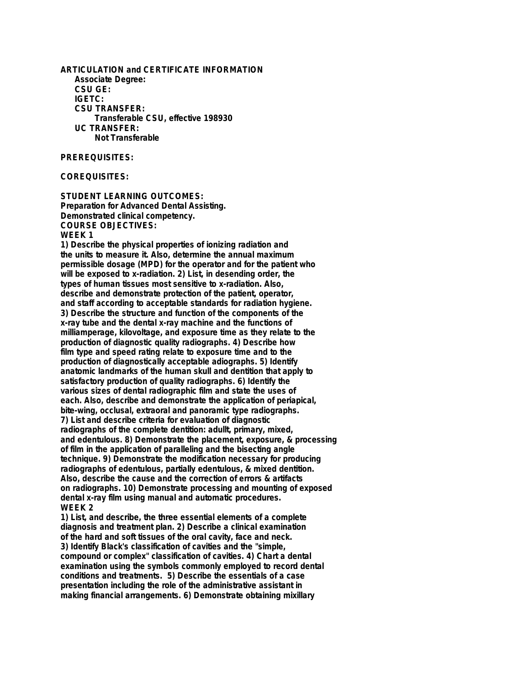**ARTICULATION and CERTIFICATE INFORMATION Associate Degree: CSU GE: IGETC: CSU TRANSFER: Transferable CSU, effective 198930 UC TRANSFER: Not Transferable**

#### **PREREQUISITES:**

**COREQUISITES:**

**STUDENT LEARNING OUTCOMES: Preparation for Advanced Dental Assisting. Demonstrated clinical competency. COURSE OBJECTIVES: WEEK 1**

**1) Describe the physical properties of ionizing radiation and the units to measure it. Also, determine the annual maximum permissible dosage (MPD) for the operator and for the patient who will be exposed to x-radiation. 2) List, in desending order, the types of human tissues most sensitive to x-radiation. Also, describe and demonstrate protection of the patient, operator, and staff according to acceptable standards for radiation hygiene. 3) Describe the structure and function of the components of the x-ray tube and the dental x-ray machine and the functions of milliamperage, kilovoltage, and exposure time as they relate to the production of diagnostic quality radiographs. 4) Describe how film type and speed rating relate to exposure time and to the production of diagnostically acceptable adiographs. 5) Identify anatomic landmarks of the human skull and dentition that apply to satisfactory production of quality radiographs. 6) Identify the various sizes of dental radiographic film and state the uses of each. Also, describe and demonstrate the application of periapical, bite-wing, occlusal, extraoral and panoramic type radiographs. 7) List and describe criteria for evaluation of diagnostic radiographs of the complete dentition: adullt, primary, mixed, and edentulous. 8) Demonstrate the placement, exposure, & processing of film in the application of paralleling and the bisecting angle technique. 9) Demonstrate the modification necessary for producing radiographs of edentulous, partially edentulous, & mixed dentition. Also, describe the cause and the correction of errors & artifacts on radiographs. 10) Demonstrate processing and mounting of exposed dental x-ray film using manual and automatic procedures. WEEK 2**

**1) List, and describe, the three essential elements of a complete diagnosis and treatment plan. 2) Describe a clinical examination of the hard and soft tissues of the oral cavity, face and neck. 3) Identify Black's classification of cavities and the "simple, compound or complex" classification of cavities. 4) Chart a dental examination using the symbols commonly employed to record dental conditions and treatments. 5) Describe the essentials of a case presentation including the role of the administrative assistant in making financial arrangements. 6) Demonstrate obtaining mixillary**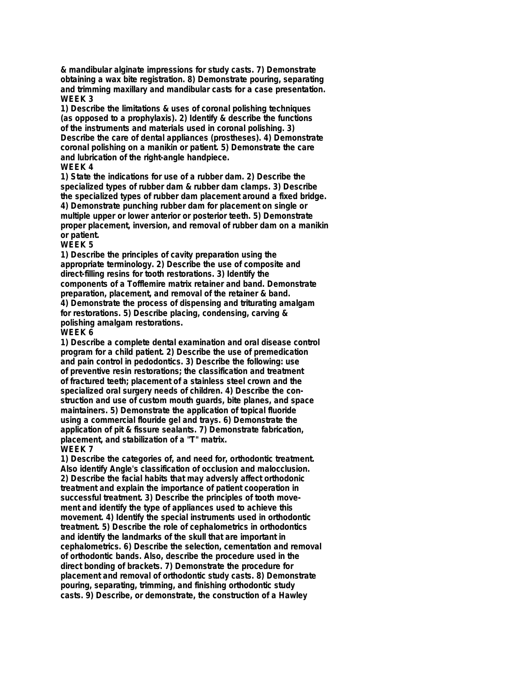**& mandibular alginate impressions for study casts. 7) Demonstrate obtaining a wax bite registration. 8) Demonstrate pouring, separating and trimming maxillary and mandibular casts for a case presentation. WEEK 3**

**1) Describe the limitations & uses of coronal polishing techniques (as opposed to a prophylaxis). 2) Identify & describe the functions of the instruments and materials used in coronal polishing. 3) Describe the care of dental appliances (prostheses). 4) Demonstrate coronal polishing on a manikin or patient. 5) Demonstrate the care and lubrication of the right-angle handpiece. WEEK 4**

# **1) State the indications for use of a rubber dam. 2) Describe the specialized types of rubber dam & rubber dam clamps. 3) Describe**

**the specialized types of rubber dam placement around a fixed bridge. 4) Demonstrate punching rubber dam for placement on single or multiple upper or lower anterior or posterior teeth. 5) Demonstrate proper placement, inversion, and removal of rubber dam on a manikin or patient.**

## **WEEK 5**

**1) Describe the principles of cavity preparation using the appropriate terminology. 2) Describe the use of composite and direct-filling resins for tooth restorations. 3) Identify the components of a Tofflemire matrix retainer and band. Demonstrate preparation, placement, and removal of the retainer & band. 4) Demonstrate the process of dispensing and triturating amalgam for restorations. 5) Describe placing, condensing, carving & polishing amalgam restorations.**

## **WEEK 6**

**1) Describe a complete dental examination and oral disease control program for a child patient. 2) Describe the use of premedication and pain control in pedodontics. 3) Describe the following: use of preventive resin restorations; the classification and treatment of fractured teeth; placement of a stainless steel crown and the specialized oral surgery needs of children. 4) Describe the construction and use of custom mouth guards, bite planes, and space maintainers. 5) Demonstrate the application of topical fluoride using a commercial flouride gel and trays. 6) Demonstrate the application of pit & fissure sealants. 7) Demonstrate fabrication, placement, and stabilization of a "T" matrix. WEEK 7**

**1) Describe the categories of, and need for, orthodontic treatment. Also identify Angle's classification of occlusion and malocclusion. 2) Describe the facial habits that may adversly affect orthodonic treatment and explain the importance of patient cooperation in successful treatment. 3) Describe the principles of tooth movement and identify the type of appliances used to achieve this movement. 4) Identify the special instruments used in orthodontic treatment. 5) Describe the role of cephalometrics in orthodontics and identify the landmarks of the skull that are important in cephalometrics. 6) Describe the selection, cementation and removal of orthodontic bands. Also, describe the procedure used in the direct bonding of brackets. 7) Demonstrate the procedure for placement and removal of orthodontic study casts. 8) Demonstrate pouring, separating, trimming, and finishing orthodontic study casts. 9) Describe, or demonstrate, the construction of a Hawley**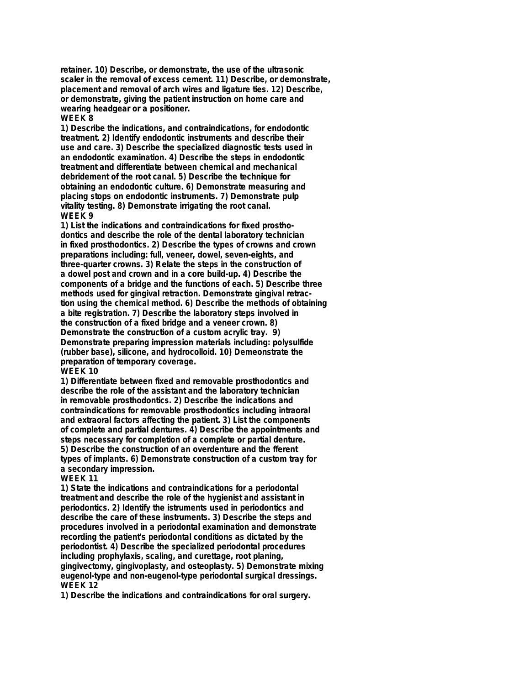**retainer. 10) Describe, or demonstrate, the use of the ultrasonic scaler in the removal of excess cement. 11) Describe, or demonstrate, placement and removal of arch wires and ligature ties. 12) Describe, or demonstrate, giving the patient instruction on home care and wearing headgear or a positioner. WEEK 8**

### **1) Describe the indications, and contraindications, for endodontic treatment. 2) Identify endodontic instruments and describe their use and care. 3) Describe the specialized diagnostic tests used in an endodontic examination. 4) Describe the steps in endodontic treatment and differentiate between chemical and mechanical debridement of the root canal. 5) Describe the technique for obtaining an endodontic culture. 6) Demonstrate measuring and placing stops on endodontic instruments. 7) Demonstrate pulp vitality testing. 8) Demonstrate irrigating the root canal. WEEK 9**

**1) List the indications and contraindications for fixed prosthodontics and describe the role of the dental laboratory technician in fixed prosthodontics. 2) Describe the types of crowns and crown preparations including: full, veneer, dowel, seven-eights, and three-quarter crowns. 3) Relate the steps in the construction of a dowel post and crown and in a core build-up. 4) Describe the components of a bridge and the functions of each. 5) Describe three methods used for gingival retraction. Demonstrate gingival retraction using the chemical method. 6) Describe the methods of obtaining a bite registration. 7) Describe the laboratory steps involved in the construction of a fixed bridge and a veneer crown. 8) Demonstrate the construction of a custom acrylic tray. 9) Demonstrate preparing impression materials including: polysulfide (rubber base), silicone, and hydrocolloid. 10) Demeonstrate the preparation of temporary coverage.**

#### **WEEK 10**

**1) Differentiate between fixed and removable prosthodontics and describe the role of the assistant and the laboratory technician in removable prosthodontics. 2) Describe the indications and contraindications for removable prosthodontics including intraoral and extraoral factors affecting the patient. 3) List the components of complete and partial dentures. 4) Describe the appointments and steps necessary for completion of a complete or partial denture. 5) Describe the construction of an overdenture and the fferent types of implants. 6) Demonstrate construction of a custom tray for a secondary impression.**

#### **WEEK 11**

**1) State the indications and contraindications for a periodontal treatment and describe the role of the hygienist and assistant in periodontics. 2) Identify the istruments used in periodontics and describe the care of these instruments. 3) Describe the steps and procedures involved in a periodontal examination and demonstrate recording the patient's periodontal conditions as dictated by the periodontist. 4) Describe the specialized periodontal procedures including prophylaxis, scaling, and curettage, root planing, gingivectomy, gingivoplasty, and osteoplasty. 5) Demonstrate mixing eugenol-type and non-eugenol-type periodontal surgical dressings. WEEK 12**

**1) Describe the indications and contraindications for oral surgery.**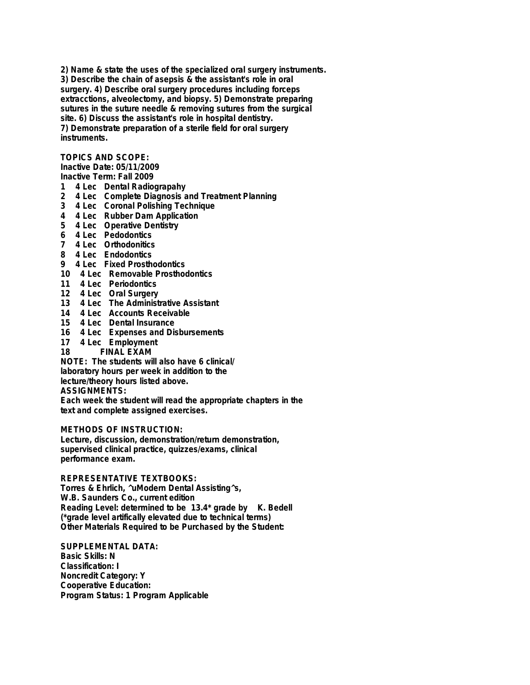**2) Name & state the uses of the specialized oral surgery instruments. 3) Describe the chain of asepsis & the assistant's role in oral surgery. 4) Describe oral surgery procedures including forceps extracctions, alveolectomy, and biopsy. 5) Demonstrate preparing sutures in the suture needle & removing sutures from the surgical site. 6) Discuss the assistant's role in hospital dentistry. 7) Demonstrate preparation of a sterile field for oral surgery instruments.**

## **TOPICS AND SCOPE:**

**Inactive Date: 05/11/2009**

**Inactive Term: Fall 2009**

- **1 4 Lec Dental Radiograpahy**
- **2 4 Lec Complete Diagnosis and Treatment Planning**
- **3 4 Lec Coronal Polishing Technique**
- **4 4 Lec Rubber Dam Application**
- **5 4 Lec Operative Dentistry**
- **6 4 Lec Pedodontics**
- **7 4 Lec Orthodonitics**
- **8 4 Lec Endodontics**
- **9 4 Lec Fixed Prosthodontics**
- **10 4 Lec Removable Prosthodontics**
- **11 4 Lec Periodontics**
- **12 4 Lec Oral Surgery**
- **13 4 Lec The Administrative Assistant**
- **14 4 Lec Accounts Receivable**
- **15 4 Lec Dental Insurance**
- **16 4 Lec Expenses and Disbursements**
- **17 4 Lec Employment**
- **18 FINAL EXAM**

**NOTE: The students will also have 6 clinical/ laboratory hours per week in addition to the lecture/theory hours listed above. ASSIGNMENTS:**

**Each week the student will read the appropriate chapters in the text and complete assigned exercises.**

**METHODS OF INSTRUCTION:**

**Lecture, discussion, demonstration/return demonstration, supervised clinical practice, quizzes/exams, clinical performance exam.**

**REPRESENTATIVE TEXTBOOKS:**

**Torres & Ehrlich, ^uModern Dental Assisting^s, W.B. Saunders Co., current edition Reading Level: determined to be 13.4\* grade by K. Bedell (\*grade level artifically elevated due to technical terms) Other Materials Required to be Purchased by the Student:**

**SUPPLEMENTAL DATA: Basic Skills: N Classification: I Noncredit Category: Y Cooperative Education: Program Status: 1 Program Applicable**